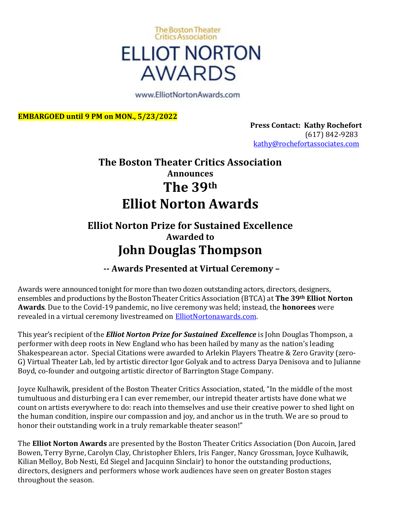

www.ElliotNortonAwards.com

**EMBARGOED until 9 PM on MON., 5/23/2022**

**Press Contact: Kathy Rochefort**  (617) 842-9283 [kathy@rochefortassociates.com](https://webmail.ihostexchange.net/owa/redir.aspx?C=56320dc78a0f48f49aad42b2636b619f&URL=mailto%3akathy%40rochefortassociates.com)

## **The Boston Theater Critics Association Announces The 39th Elliot Norton Awards**

### **Elliot Norton Prize for Sustained Excellence Awarded to John Douglas Thompson**

### **-- Awards Presented at Virtual Ceremony –**

Awards were announced tonight for more than two dozen outstanding actors, directors, designers, ensembles and productions by the BostonTheater CriticsAssociation (BTCA) at **The 39th Elliot Norton Awards**. Due to the Covid-19 pandemic, no live ceremony was held; instead, the **honorees** were revealed in a virtual ceremony livestreamed on [ElliotNortonawards.com.](https://urldefense.com/v3/__http:/elliotnortonawards.com/__;!!BspMT6SJLSDJ!OpCE3cdCDZeZQjB87P78u3h4Rm7M6nl7j79prH-n1A7UTFDOqnozjOWET6a449reOlqDwHz81IbE0t7TtcOdjAc$)

This year's recipient of the *Elliot Norton Prize for Sustained Excellence* is John Douglas Thompson, a performer with deep roots in New England who has been hailed by many as the nation's leading Shakespearean actor. Special Citations were awarded to Arlekin Players Theatre & Zero Gravity (zero-G) Virtual Theater Lab, led by artistic director Igor Golyak and to actress Darya Denisova and to Julianne Boyd, co-founder and outgoing artistic director of Barrington Stage Company.

Joyce Kulhawik, president of the Boston Theater Critics Association, stated, "In the middle of the most tumultuous and disturbing era I can ever remember, our intrepid theater artists have done what we count on artists everywhere to do: reach into themselves and use their creative power to shed light on the human condition, inspire our compassion and joy, and anchor us in the truth. We are so proud to honor their outstanding work in a truly remarkable theater season!"

The **Elliot Norton Awards** are presented by the Boston Theater Critics Association (Don Aucoin, Jared Bowen, Terry Byrne, Carolyn Clay, Christopher Ehlers, Iris Fanger, Nancy Grossman, Joyce Kulhawik, Kilian Melloy, Bob Nesti, Ed Siegel and Jacquinn Sinclair) to honor the outstanding productions, directors, designers and performers whose work audiences have seen on greater Boston stages throughout the season.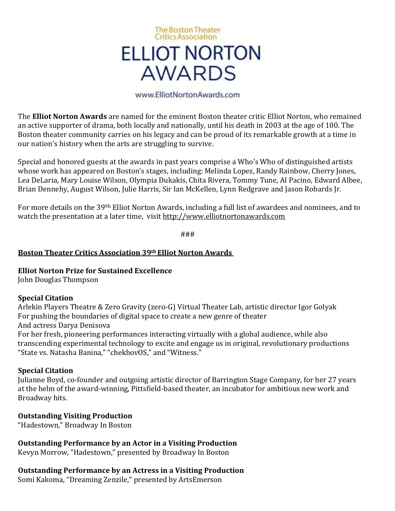# **The Boston Theater Critics Association ELLIOT NORTON AWARDS**

#### www.ElliotNortonAwards.com

The **Elliot Norton Awards** are named for the eminent Boston theater critic Elliot Norton, who remained an active supporter of drama, both locally and nationally, until his death in 2003 at the age of 100. The Boston theater community carries on his legacy and can be proud of its remarkable growth at a time in our nation's history when the arts are struggling to survive.

Special and honored guests at the awards in past years comprise a Who's Who of distinguished artists whose work has appeared on Boston's stages, including: Melinda Lopez, Randy Rainbow, Cherry Jones, Lea DeLaria, Mary Louise Wilson, Olympia Dukakis, Chita Rivera, Tommy Tune, Al Pacino, Edward Albee, Brian Dennehy, August Wilson, Julie Harris, Sir Ian McKellen, Lynn Redgrave and Jason Robards Jr.

For more details on the 399h Elliot Norton Awards, including a full list of awardees and nominees, and to watch the presentation at a later time, visit [http://www.elliotnortonawards.com](http://www.elliotnortonawards.com/)

###

### **Boston Theater Critics Association 39th Elliot Norton Awards**

### **Elliot Norton Prize for Sustained Excellence**

John Douglas Thompson

### **Special Citation**

Arlekin Players Theatre & Zero Gravity (zero-G) Virtual Theater Lab, artistic director Igor Golyak For pushing the boundaries of digital space to create a new genre of theater And actress Darya Denisova For her fresh, pioneering performances interacting virtually with a global audience, while also

transcending experimental technology to excite and engage us in original, revolutionary productions "State vs. Natasha Banina," "chekhovOS," and "Witness."

### **Special Citation**

Julianne Boyd, co-founder and outgoing artistic director of Barrington Stage Company, for her 27 years at the helm of the award-winning, Pittsfield-based theater, an incubator for ambitious new work and Broadway hits.

### **Outstanding Visiting Production**

"Hadestown," Broadway In Boston

**Outstanding Performance by an Actor in a Visiting Production**

Kevyn Morrow, "Hadestown," presented by Broadway In Boston

### **Outstanding Performance by an Actress in a Visiting Production**

Somi Kakoma, "Dreaming Zenzile," presented by ArtsEmerson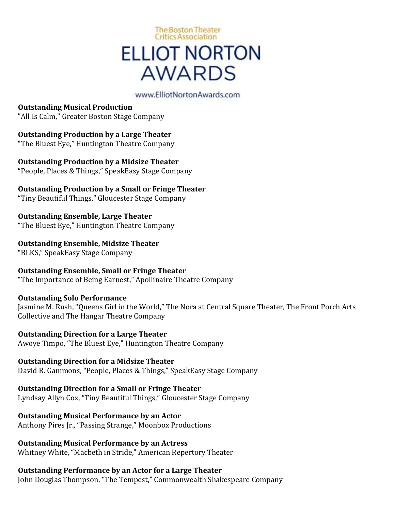# **The Boston Theater Critics Association ELLIOT NORTON AWARDS**

### www.ElliotNortonAwards.com

**Outstanding Musical Production** "All Is Calm," Greater Boston Stage Company

**Outstanding Production by a Large Theater** "The Bluest Eye," Huntington Theatre Company

**Outstanding Production by a Midsize Theater** "People, Places & Things," SpeakEasy Stage Company

**Outstanding Production by a Small or Fringe Theater**

"Tiny Beautiful Things," Gloucester Stage Company

**Outstanding Ensemble, Large Theater** "The Bluest Eye," Huntington Theatre Company

**Outstanding Ensemble, Midsize Theater**

"BLKS," SpeakEasy Stage Company

**Outstanding Ensemble, Small or Fringe Theater**

"The Importance of Being Earnest," Apollinaire Theatre Company

**Outstanding Solo Performance**

Jasmine M. Rush, "Queens Girl in the World," The Nora at Central Square Theater, The Front Porch Arts Collective and The Hangar Theatre Company

**Outstanding Direction for a Large Theater** Awoye Timpo, "The Bluest Eye," Huntington Theatre Company

**Outstanding Direction for a Midsize Theater** David R. Gammons, "People, Places & Things," SpeakEasy Stage Company

**Outstanding Direction for a Small or Fringe Theater** Lyndsay Allyn Cox, "Tiny Beautiful Things," Gloucester Stage Company

**Outstanding Musical Performance by an Actor**

Anthony Pires Jr., "Passing Strange," Moonbox Productions

**Outstanding Musical Performance by an Actress** Whitney White, "Macbeth in Stride," American Repertory Theater

**Outstanding Performance by an Actor for a Large Theater**

John Douglas Thompson, "The Tempest," Commonwealth Shakespeare Company